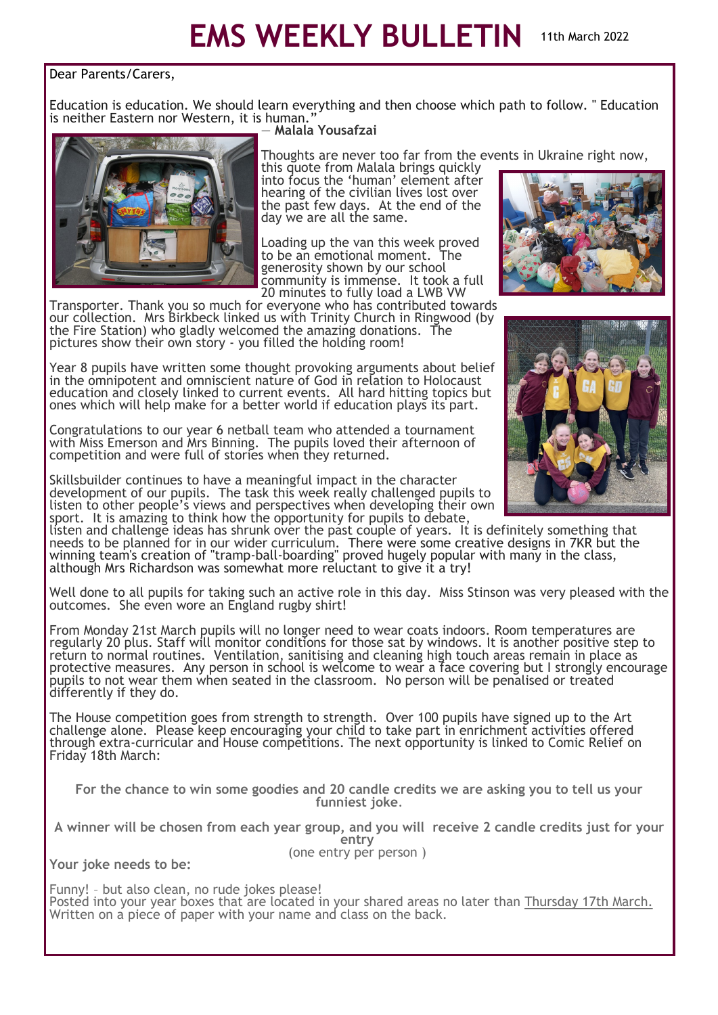## **EMS WEEKLY BULLETIN** 11th March 2022

## Dear Parents/Carers,

Education is education. We should learn everything and then choose which path to follow. " Education is neither Eastern nor Western, it is human.



## ― **Malala Yousafzai**

Thoughts are never too far from the events in Ukraine right now,

this quote from Malala brings quickly into focus the 'human' element after hearing of the civilian lives lost over the past few days. At the end of the day we are all the same.

Loading up the van this week proved<br>to be an emotional moment. The to be an emotional moment. generosity shown by our school community is immense. It took a full 20 minutes to fully load a LWB VW

Transporter. Thank you so much for everyone who has contributed towards our collection. Mrs Birkbeck linked us with Trinity Church in Ringwood (by the Fire Station) who gladly welcomed the amazing donations. The pictures show their own story - you filled the holding room!

Year 8 pupils have written some thought provoking arguments about belief in the omnipotent and omniscient nature of God in relation to Holocaust education and closely linked to current events. All hard hitting topics but ones which will help make for a better world if education plays its part.

Congratulations to our year 6 netball team who attended a tournament with Miss Emerson and Mrs Binning. The pupils loved their afternoon of competition and were full of stories when they returned.

Skillsbuilder continues to have a meaningful impact in the character development of our pupils. The task this week really challenged pupils to listen to other people's views and perspectives when developing their own sport. It is amazing to think how the opportunity for pupils to debate,

listen and challenge ideas has shrunk over the past couple of years. It is definitely something that needs to be planned for in our wider curriculum. There were some creative designs in 7KR but the winning team's creation of "tramp-ball-boarding" proved hugely popular with many in the class, although Mrs Richardson was somewhat more reluctant to give it a try!

Well done to all pupils for taking such an active role in this day. Miss Stinson was very pleased with the outcomes. She even wore an England rugby shirt!

From Monday 21st March pupils will no longer need to wear coats indoors. Room temperatures are regularly 20 plus. Staff will monitor conditions for those sat by windows. It is another positive step to return to normal routines. Ventilation, sanitising and cleaning high touch areas remain in place as protective measures. Any person in school is welcome to wear a face covering but I strongly encourage pupils to not wear them when seated in the classroom. No person will be penalised or treated differently if they do.

The House competition goes from strength to strength. Over 100 pupils have signed up to the Art challenge alone. Please keep encouraging your child to take part in enrichment activities offered through extra-curricular and House competitions. The next opportunity is linked to Comic Relief on Friday 18th March:

**For the chance to win some goodies and 20 candle credits we are asking you to tell us your funniest joke**.

**A winner will be chosen from each year group, and you will receive 2 candle credits just for your entry** (one entry per person )

**Your joke needs to be:**

Funny! – but also clean, no rude jokes please! Posted into your year boxes that are located in your shared areas no later than Thursday 17th March. Written on a piece of paper with your name and class on the back.